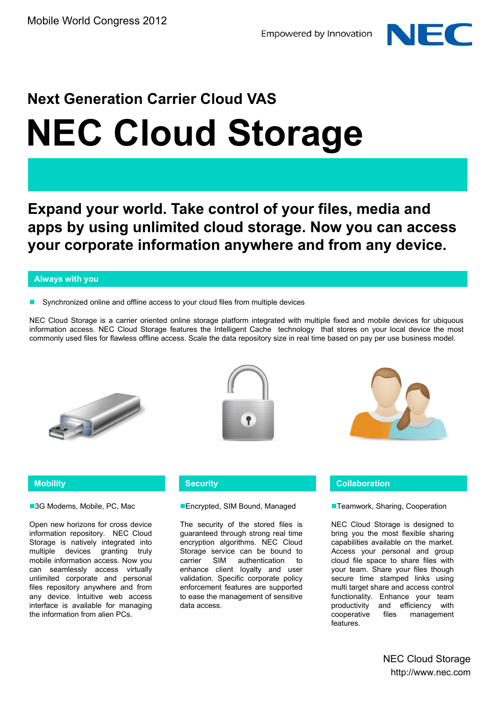

# **Next Generation Carrier Cloud VAS NEC Cloud Storage**

**Expand your world. Take control of your files, media and apps by using unlimited cloud storage. Now you can access your corporate information anywhere and from any device.** 

#### **Always with you**

Synchronized online and offline access to your cloud files from multiple devices

NEC Cloud Storage is a carrier oriented online storage platform integrated with multiple fixed and mobile devices for ubiquous information access. NEC Cloud Storage features the Intelligent Cache technology that stores on your local device the most commonly used files for flawless offline access. Scale the data repository size in real time based on pay per use business model.







#### **Mobility**

■3G Modems, Mobile, PC, Mac

Open new horizons for cross device information repository. NEC Cloud Storage is natively integrated into multiple devices granting truly mobile information access. Now you can seamlessly access virtually unlimited corporate and personal files repository anywhere and from any device. Intuitive web access interface is available for managing the information from alien PCs.

#### **Encrypted, SIM Bound, Managed**

The security of the stored files is guaranteed through strong real time encryption algorithms. NEC Cloud Storage service can be bound to carrier SIM authentication to enhance client loyalty and user validation. Specific corporate policy enforcement features are supported to ease the management of sensitive data access.

#### **Security Collaboration**

**Teamwork, Sharing, Cooperation** 

NEC Cloud Storage is designed to bring you the most flexible sharing capabilities available on the market. Access your personal and group cloud file space to share files with your team. Share your files though secure time stamped links using multi target share and access control functionality. Enhance your team productivity and efficiency with cooperative files management features.

> NEC Cloud Storage http://www.nec.com